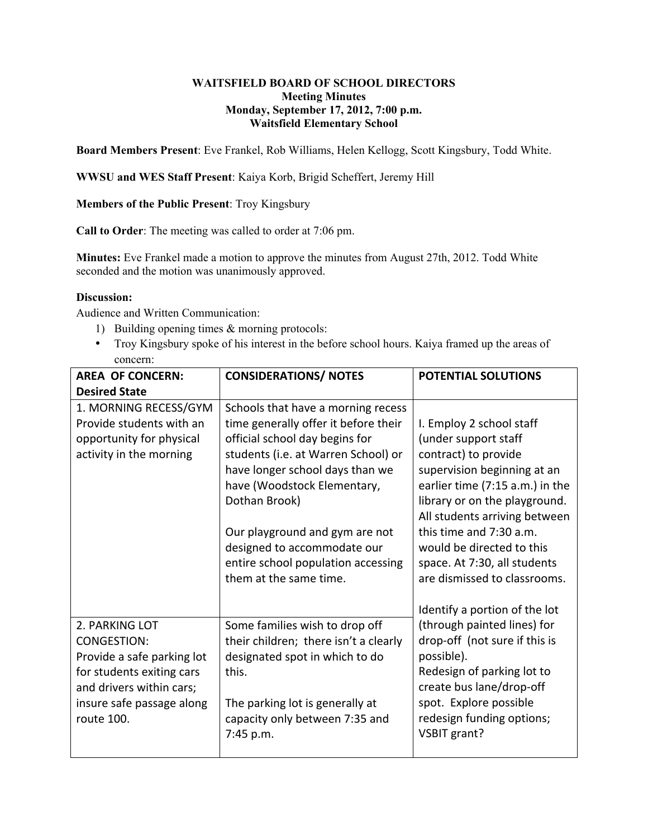## **WAITSFIELD BOARD OF SCHOOL DIRECTORS Meeting Minutes Monday, September 17, 2012, 7:00 p.m. Waitsfield Elementary School**

**Board Members Present**: Eve Frankel, Rob Williams, Helen Kellogg, Scott Kingsbury, Todd White.

**WWSU and WES Staff Present**: Kaiya Korb, Brigid Scheffert, Jeremy Hill

**Members of the Public Present**: Troy Kingsbury

**Call to Order**: The meeting was called to order at 7:06 pm.

**Minutes:** Eve Frankel made a motion to approve the minutes from August 27th, 2012. Todd White seconded and the motion was unanimously approved.

## **Discussion:**

Audience and Written Communication:

- 1) Building opening times & morning protocols:
	- Troy Kingsbury spoke of his interest in the before school hours. Kaiya framed up the areas of concern:

| <b>AREA OF CONCERN:</b>    | <b>CONSIDERATIONS/ NOTES</b>                                  | <b>POTENTIAL SOLUTIONS</b>                               |
|----------------------------|---------------------------------------------------------------|----------------------------------------------------------|
| <b>Desired State</b>       |                                                               |                                                          |
| 1. MORNING RECESS/GYM      | Schools that have a morning recess                            |                                                          |
| Provide students with an   | time generally offer it before their                          | I. Employ 2 school staff                                 |
| opportunity for physical   | official school day begins for                                | (under support staff                                     |
| activity in the morning    | students (i.e. at Warren School) or                           | contract) to provide                                     |
|                            | have longer school days than we                               | supervision beginning at an                              |
|                            | have (Woodstock Elementary,                                   | earlier time (7:15 a.m.) in the                          |
|                            | Dothan Brook)                                                 | library or on the playground.                            |
|                            |                                                               | All students arriving between<br>this time and 7:30 a.m. |
|                            | Our playground and gym are not<br>designed to accommodate our | would be directed to this                                |
|                            | entire school population accessing                            | space. At 7:30, all students                             |
|                            | them at the same time.                                        | are dismissed to classrooms.                             |
|                            |                                                               |                                                          |
|                            |                                                               | Identify a portion of the lot                            |
| 2. PARKING LOT             | Some families wish to drop off                                | (through painted lines) for                              |
| <b>CONGESTION:</b>         | their children; there isn't a clearly                         | drop-off (not sure if this is                            |
| Provide a safe parking lot | designated spot in which to do                                | possible).                                               |
| for students exiting cars  | this.                                                         | Redesign of parking lot to                               |
| and drivers within cars;   |                                                               | create bus lane/drop-off                                 |
| insure safe passage along  | The parking lot is generally at                               | spot. Explore possible                                   |
| route 100.                 | capacity only between 7:35 and                                | redesign funding options;                                |
|                            | 7:45 p.m.                                                     | VSBIT grant?                                             |
|                            |                                                               |                                                          |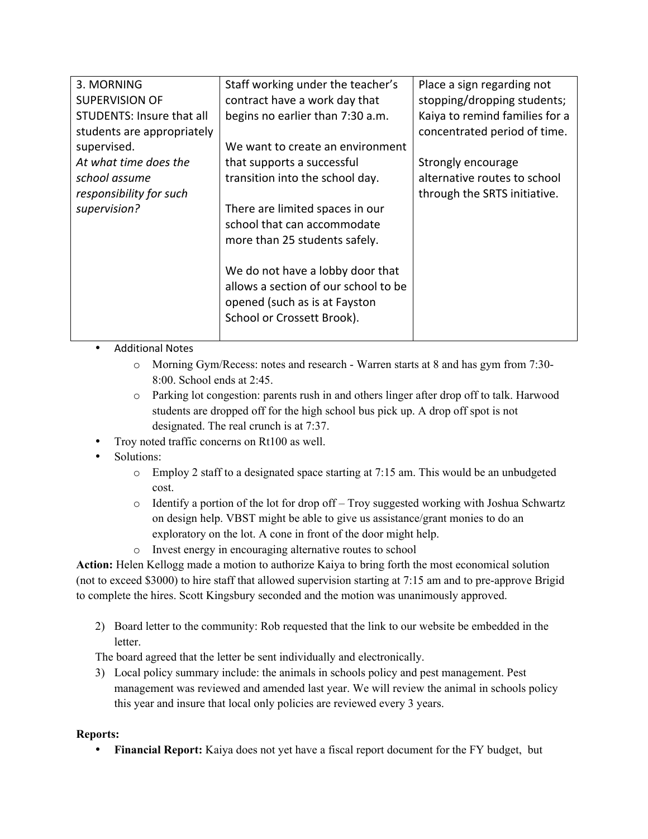| 3. MORNING                 | Staff working under the teacher's    | Place a sign regarding not     |
|----------------------------|--------------------------------------|--------------------------------|
| <b>SUPERVISION OF</b>      | contract have a work day that        | stopping/dropping students;    |
| STUDENTS: Insure that all  | begins no earlier than 7:30 a.m.     | Kaiya to remind families for a |
| students are appropriately |                                      | concentrated period of time.   |
| supervised.                | We want to create an environment     |                                |
| At what time does the      | that supports a successful           | Strongly encourage             |
| school assume              | transition into the school day.      | alternative routes to school   |
| responsibility for such    |                                      | through the SRTS initiative.   |
| supervision?               | There are limited spaces in our      |                                |
|                            | school that can accommodate          |                                |
|                            | more than 25 students safely.        |                                |
|                            |                                      |                                |
|                            | We do not have a lobby door that     |                                |
|                            | allows a section of our school to be |                                |
|                            | opened (such as is at Fayston        |                                |
|                            | School or Crossett Brook).           |                                |
|                            |                                      |                                |

- Additional Notes
	- o Morning Gym/Recess: notes and research Warren starts at 8 and has gym from 7:30- 8:00. School ends at 2:45.
	- o Parking lot congestion: parents rush in and others linger after drop off to talk. Harwood students are dropped off for the high school bus pick up. A drop off spot is not designated. The real crunch is at 7:37.
- Troy noted traffic concerns on Rt100 as well.
- Solutions:
	- o Employ 2 staff to a designated space starting at 7:15 am. This would be an unbudgeted cost.
	- $\circ$  Identify a portion of the lot for drop of  $f$  Troy suggested working with Joshua Schwartz on design help. VBST might be able to give us assistance/grant monies to do an exploratory on the lot. A cone in front of the door might help.
	- o Invest energy in encouraging alternative routes to school

**Action:** Helen Kellogg made a motion to authorize Kaiya to bring forth the most economical solution (not to exceed \$3000) to hire staff that allowed supervision starting at 7:15 am and to pre-approve Brigid to complete the hires. Scott Kingsbury seconded and the motion was unanimously approved.

2) Board letter to the community: Rob requested that the link to our website be embedded in the letter.

The board agreed that the letter be sent individually and electronically.

3) Local policy summary include: the animals in schools policy and pest management. Pest management was reviewed and amended last year. We will review the animal in schools policy this year and insure that local only policies are reviewed every 3 years.

## **Reports:**

• **Financial Report:** Kaiya does not yet have a fiscal report document for the FY budget, but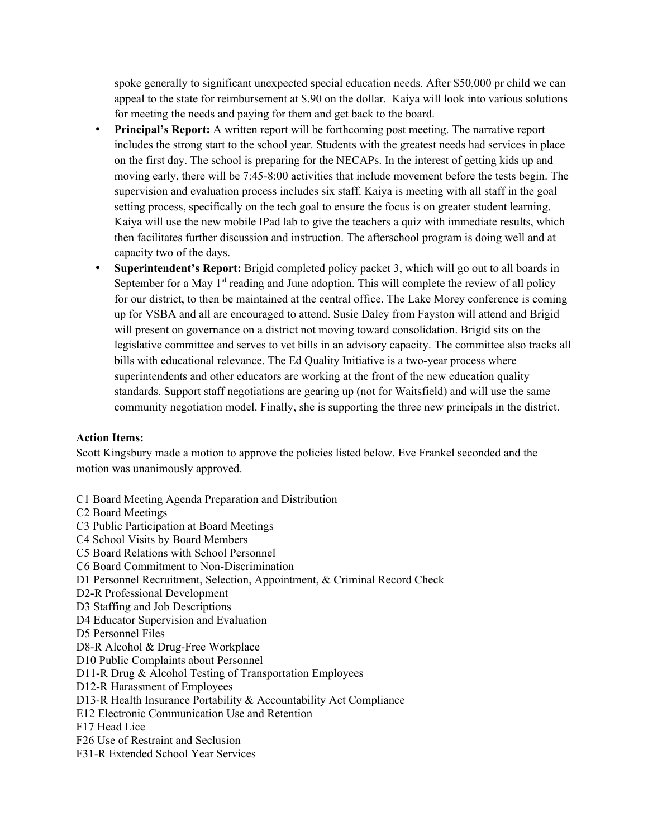spoke generally to significant unexpected special education needs. After \$50,000 pr child we can appeal to the state for reimbursement at \$.90 on the dollar. Kaiya will look into various solutions for meeting the needs and paying for them and get back to the board.

- **Principal's Report:** A written report will be forthcoming post meeting. The narrative report includes the strong start to the school year. Students with the greatest needs had services in place on the first day. The school is preparing for the NECAPs. In the interest of getting kids up and moving early, there will be 7:45-8:00 activities that include movement before the tests begin. The supervision and evaluation process includes six staff. Kaiya is meeting with all staff in the goal setting process, specifically on the tech goal to ensure the focus is on greater student learning. Kaiya will use the new mobile IPad lab to give the teachers a quiz with immediate results, which then facilitates further discussion and instruction. The afterschool program is doing well and at capacity two of the days.
- **Superintendent's Report:** Brigid completed policy packet 3, which will go out to all boards in September for a May  $1<sup>st</sup>$  reading and June adoption. This will complete the review of all policy for our district, to then be maintained at the central office. The Lake Morey conference is coming up for VSBA and all are encouraged to attend. Susie Daley from Fayston will attend and Brigid will present on governance on a district not moving toward consolidation. Brigid sits on the legislative committee and serves to vet bills in an advisory capacity. The committee also tracks all bills with educational relevance. The Ed Quality Initiative is a two-year process where superintendents and other educators are working at the front of the new education quality standards. Support staff negotiations are gearing up (not for Waitsfield) and will use the same community negotiation model. Finally, she is supporting the three new principals in the district.

## **Action Items:**

Scott Kingsbury made a motion to approve the policies listed below. Eve Frankel seconded and the motion was unanimously approved.

- C1 Board Meeting Agenda Preparation and Distribution
- C2 Board Meetings
- C3 Public Participation at Board Meetings
- C4 School Visits by Board Members
- C5 Board Relations with School Personnel
- C6 Board Commitment to Non-Discrimination
- D1 Personnel Recruitment, Selection, Appointment, & Criminal Record Check
- D2-R Professional Development
- D3 Staffing and Job Descriptions
- D4 Educator Supervision and Evaluation
- D5 Personnel Files
- D8-R Alcohol & Drug-Free Workplace
- D10 Public Complaints about Personnel
- D11-R Drug & Alcohol Testing of Transportation Employees
- D12-R Harassment of Employees
- D13-R Health Insurance Portability & Accountability Act Compliance
- E12 Electronic Communication Use and Retention
- F17 Head Lice
- F26 Use of Restraint and Seclusion
- F31-R Extended School Year Services